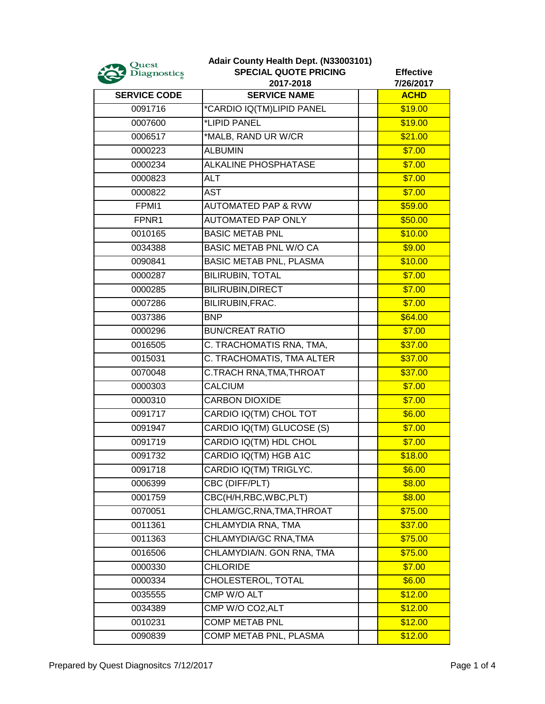| Quest<br><b>Diagnostics</b> | Adair County Health Dept. (N33003101)<br><b>SPECIAL QUOTE PRICING</b><br>2017-2018 | <b>Effective</b><br>7/26/2017 |
|-----------------------------|------------------------------------------------------------------------------------|-------------------------------|
| <b>SERVICE CODE</b>         | <b>SERVICE NAME</b>                                                                | <b>ACHD</b>                   |
| 0091716                     | *CARDIO IQ(TM)LIPID PANEL                                                          | \$19.00                       |
| 0007600                     | *LIPID PANEL                                                                       | \$19.00                       |
| 0006517                     | *MALB, RAND UR W/CR                                                                | \$21.00                       |
| 0000223                     | <b>ALBUMIN</b>                                                                     | \$7.00                        |
| 0000234                     | ALKALINE PHOSPHATASE                                                               | \$7.00                        |
| 0000823                     | <b>ALT</b>                                                                         | \$7.00                        |
| 0000822                     | AST                                                                                | \$7.00                        |
| FPMI1                       | <b>AUTOMATED PAP &amp; RVW</b>                                                     | \$59.00                       |
| FPNR1                       | <b>AUTOMATED PAP ONLY</b>                                                          | \$50.00                       |
| 0010165                     | <b>BASIC METAB PNL</b>                                                             | \$10.00                       |
| 0034388                     | <b>BASIC METAB PNL W/O CA</b>                                                      | \$9.00                        |
| 0090841                     | <b>BASIC METAB PNL, PLASMA</b>                                                     | \$10.00                       |
| 0000287                     | <b>BILIRUBIN, TOTAL</b>                                                            | \$7.00                        |
| 0000285                     | <b>BILIRUBIN, DIRECT</b>                                                           | \$7.00                        |
| 0007286                     | BILIRUBIN, FRAC.                                                                   | \$7.00                        |
| 0037386                     | <b>BNP</b>                                                                         | \$64.00                       |
| 0000296                     | <b>BUN/CREAT RATIO</b>                                                             | \$7.00                        |
| 0016505                     | C. TRACHOMATIS RNA, TMA,                                                           | \$37.00                       |
| 0015031                     | C. TRACHOMATIS, TMA ALTER                                                          | \$37.00                       |
| 0070048                     | C.TRACH RNA,TMA,THROAT                                                             | \$37.00                       |
| 0000303                     | <b>CALCIUM</b>                                                                     | \$7.00                        |
| 0000310                     | <b>CARBON DIOXIDE</b>                                                              | \$7.00                        |
| 0091717                     | CARDIO IQ(TM) CHOL TOT                                                             | \$6.00                        |
| 0091947                     | CARDIO IQ(TM) GLUCOSE (S)                                                          | \$7.00                        |
| 0091719                     | CARDIO IQ(TM) HDL CHOL                                                             | \$7.00                        |
| 0091732                     | CARDIO IQ(TM) HGB A1C                                                              | \$18.00                       |
| 0091718                     | CARDIO IQ(TM) TRIGLYC.                                                             | \$6.00                        |
| 0006399                     | CBC (DIFF/PLT)                                                                     | \$8.00                        |
| 0001759                     | CBC(H/H, RBC, WBC, PLT)                                                            | \$8.00                        |
| 0070051                     | CHLAM/GC, RNA, TMA, THROAT                                                         | \$75.00                       |
| 0011361                     | CHLAMYDIA RNA, TMA                                                                 | \$37.00                       |
| 0011363                     | CHLAMYDIA/GC RNA, TMA                                                              | \$75.00                       |
| 0016506                     | CHLAMYDIA/N. GON RNA, TMA                                                          | \$75.00                       |
| 0000330                     | <b>CHLORIDE</b>                                                                    | \$7.00                        |
| 0000334                     | CHOLESTEROL, TOTAL                                                                 | \$6.00                        |
| 0035555                     | CMP W/O ALT                                                                        | \$12.00                       |
| 0034389                     | CMP W/O CO2, ALT                                                                   | \$12.00                       |
| 0010231                     | <b>COMP METAB PNL</b>                                                              | \$12.00                       |
| 0090839                     | COMP METAB PNL, PLASMA                                                             | \$12.00                       |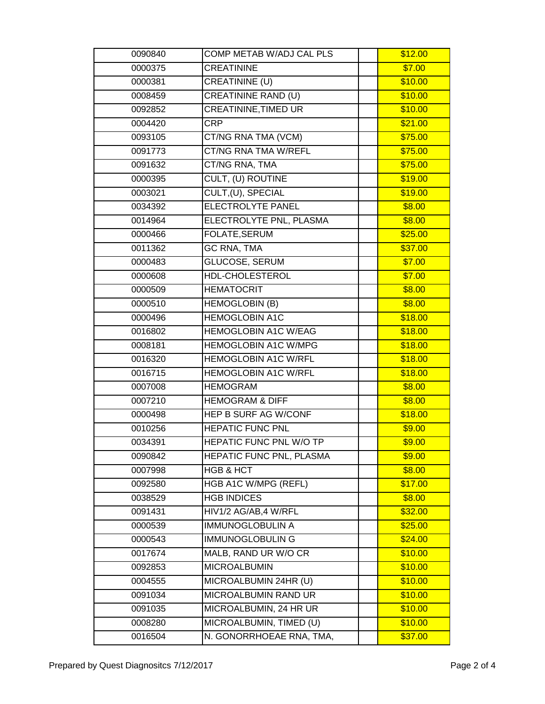| 0090840 | COMP METAB W/ADJ CAL PLS       | \$12.00 |
|---------|--------------------------------|---------|
| 0000375 | <b>CREATININE</b>              | \$7.00  |
| 0000381 | <b>CREATININE (U)</b>          | \$10.00 |
| 0008459 | <b>CREATININE RAND (U)</b>     | \$10.00 |
| 0092852 | CREATININE, TIMED UR           | \$10.00 |
| 0004420 | <b>CRP</b>                     | \$21.00 |
| 0093105 | CT/NG RNA TMA (VCM)            | \$75.00 |
| 0091773 | <b>CT/NG RNA TMA W/REFL</b>    | \$75.00 |
| 0091632 | CT/NG RNA, TMA                 | \$75.00 |
| 0000395 | CULT, (U) ROUTINE              | \$19.00 |
| 0003021 | CULT, (U), SPECIAL             | \$19.00 |
| 0034392 | ELECTROLYTE PANEL              | \$8.00  |
| 0014964 | ELECTROLYTE PNL, PLASMA        | \$8.00  |
| 0000466 | FOLATE, SERUM                  | \$25.00 |
| 0011362 | <b>GC RNA, TMA</b>             | \$37.00 |
| 0000483 | <b>GLUCOSE, SERUM</b>          | \$7.00  |
| 0000608 | <b>HDL-CHOLESTEROL</b>         | \$7.00  |
| 0000509 | <b>HEMATOCRIT</b>              | \$8.00  |
| 0000510 | <b>HEMOGLOBIN (B)</b>          | \$8.00  |
| 0000496 | <b>HEMOGLOBIN A1C</b>          | \$18.00 |
| 0016802 | <b>HEMOGLOBIN A1C W/EAG</b>    | \$18.00 |
| 0008181 | <b>HEMOGLOBIN A1C W/MPG</b>    | \$18.00 |
| 0016320 | <b>HEMOGLOBIN A1C W/RFL</b>    | \$18.00 |
| 0016715 | HEMOGLOBIN A1C W/RFL           | \$18.00 |
| 0007008 | <b>HEMOGRAM</b>                | \$8.00  |
| 0007210 | <b>HEMOGRAM &amp; DIFF</b>     | \$8.00  |
| 0000498 | HEP B SURF AG W/CONF           | \$18.00 |
| 0010256 | <b>HEPATIC FUNC PNL</b>        | 59.00   |
| 0034391 | <b>HEPATIC FUNC PNL W/O TP</b> | \$9.00  |
| 0090842 | HEPATIC FUNC PNL, PLASMA       | \$9.00  |
| 0007998 | <b>HGB &amp; HCT</b>           | \$8.00  |
| 0092580 | HGB A1C W/MPG (REFL)           | \$17.00 |
| 0038529 | <b>HGB INDICES</b>             | \$8.00  |
| 0091431 | HIV1/2 AG/AB,4 W/RFL           | \$32.00 |
| 0000539 | <b>IMMUNOGLOBULIN A</b>        | \$25.00 |
| 0000543 | <b>IMMUNOGLOBULIN G</b>        | \$24.00 |
| 0017674 | MALB, RAND UR W/O CR           | \$10.00 |
| 0092853 | <b>MICROALBUMIN</b>            | \$10.00 |
| 0004555 | MICROALBUMIN 24HR (U)          | \$10.00 |
| 0091034 | MICROALBUMIN RAND UR           | \$10.00 |
| 0091035 | MICROALBUMIN, 24 HR UR         | \$10.00 |
| 0008280 | MICROALBUMIN, TIMED (U)        | \$10.00 |
| 0016504 | N. GONORRHOEAE RNA, TMA,       | \$37.00 |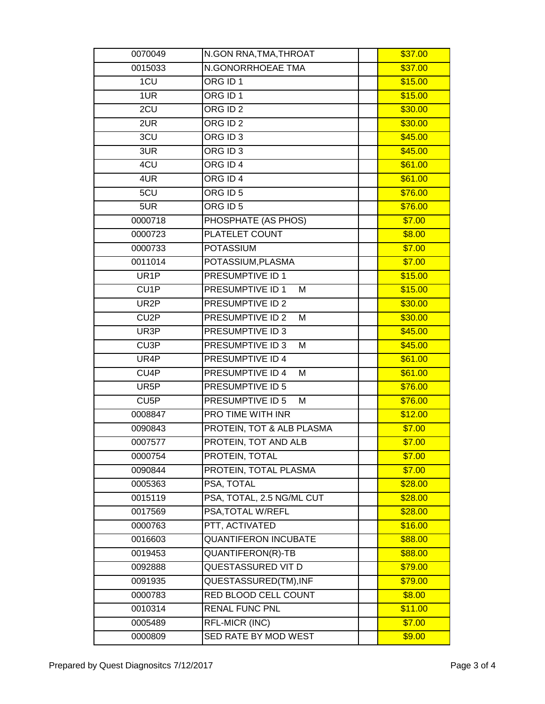| 0070049           | N.GON RNA, TMA, THROAT      | \$37.00 |
|-------------------|-----------------------------|---------|
| 0015033           | N.GONORRHOEAE TMA           | \$37.00 |
| 1CU               | ORG ID 1                    | \$15.00 |
| 1UR               | ORG ID 1                    | \$15.00 |
| 2CU               | ORG $\overline{ID2}$        | \$30.00 |
| 2UR               | ORG ID 2                    | \$30.00 |
| 3CU               | ORG ID 3                    | \$45.00 |
| 3UR               | ORG ID 3                    | \$45.00 |
| 4CU               | ORG ID 4                    | \$61.00 |
| 4UR               | ORG ID 4                    | \$61.00 |
| 5CU               | ORG ID 5                    | \$76.00 |
| 5UR               | ORG ID 5                    | \$76.00 |
| 0000718           | PHOSPHATE (AS PHOS)         | \$7.00  |
| 0000723           | PLATELET COUNT              | \$8.00  |
| 0000733           | <b>POTASSIUM</b>            | \$7.00  |
| 0011014           | POTASSIUM, PLASMA           | \$7.00  |
| UR <sub>1</sub> P | PRESUMPTIVE ID 1            | \$15.00 |
| CU <sub>1</sub> P | PRESUMPTIVE ID 1<br>M       | \$15.00 |
| UR2P              | <b>PRESUMPTIVE ID 2</b>     | \$30.00 |
| CU <sub>2</sub> P | PRESUMPTIVE ID 2<br>M       | \$30.00 |
| UR3P              | PRESUMPTIVE ID 3            | \$45.00 |
| CU <sub>3</sub> P | PRESUMPTIVE ID 3<br>M       | \$45.00 |
| UR4P              | PRESUMPTIVE ID 4            | \$61.00 |
| CU <sub>4</sub> P | PRESUMPTIVE ID 4<br>M       | \$61.00 |
| UR5P              | PRESUMPTIVE ID 5            | \$76.00 |
| CU <sub>5</sub> P | PRESUMPTIVE ID 5<br>M       | \$76.00 |
| 0008847           | PRO TIME WITH INR           | \$12.00 |
| 0090843           | PROTEIN, TOT & ALB PLASMA   | \$7.00  |
| 0007577           | PROTEIN, TOT AND ALB        | \$7.00  |
| 0000754           | PROTEIN, TOTAL              | \$7.00  |
| 0090844           | PROTEIN, TOTAL PLASMA       | \$7.00  |
| 0005363           | PSA, TOTAL                  | \$28.00 |
| 0015119           | PSA, TOTAL, 2.5 NG/ML CUT   | \$28.00 |
| 0017569           | PSA, TOTAL W/REFL           | \$28.00 |
| 0000763           | PTT, ACTIVATED              | \$16.00 |
| 0016603           | <b>QUANTIFERON INCUBATE</b> | \$88.00 |
| 0019453           | QUANTIFERON(R)-TB           | \$88.00 |
| 0092888           | QUESTASSURED VIT D          | \$79.00 |
| 0091935           | QUESTASSURED(TM), INF       | \$79.00 |
| 0000783           | RED BLOOD CELL COUNT        | \$8.00  |
| 0010314           | <b>RENAL FUNC PNL</b>       | \$11.00 |
| 0005489           | RFL-MICR (INC)              | \$7.00  |
| 0000809           | SED RATE BY MOD WEST        | \$9.00  |